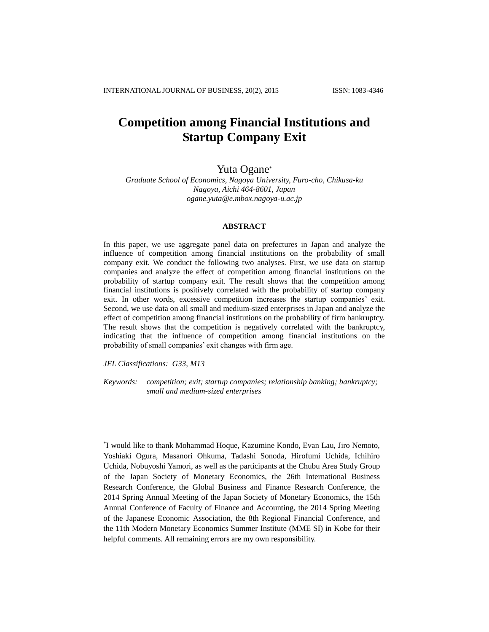# **Competition among Financial Institutions and Startup Company Exit**

# Yuta Ogane\*

*Graduate School of Economics, Nagoya University, Furo-cho, Chikusa-ku Nagoya, Aichi 464-8601, Japan ogane.yuta@e.mbox.nagoya-u.ac.jp*

## **ABSTRACT**

In this paper, we use aggregate panel data on prefectures in Japan and analyze the influence of competition among financial institutions on the probability of small company exit. We conduct the following two analyses. First, we use data on startup companies and analyze the effect of competition among financial institutions on the probability of startup company exit. The result shows that the competition among financial institutions is positively correlated with the probability of startup company exit. In other words, excessive competition increases the startup companies' exit. Second, we use data on all small and medium-sized enterprises in Japan and analyze the effect of competition among financial institutions on the probability of firm bankruptcy. The result shows that the competition is negatively correlated with the bankruptcy, indicating that the influence of competition among financial institutions on the probability of small companies' exit changes with firm age.

*JEL Classifications: G33, M13*

*Keywords: competition; exit; startup companies; relationship banking; bankruptcy; small and medium-sized enterprises*

\* I would like to thank Mohammad Hoque, Kazumine Kondo, Evan Lau, Jiro Nemoto, Yoshiaki Ogura, Masanori Ohkuma, Tadashi Sonoda, Hirofumi Uchida, Ichihiro Uchida, Nobuyoshi Yamori, as well as the participants at the Chubu Area Study Group of the Japan Society of Monetary Economics, the 26th International Business Research Conference, the Global Business and Finance Research Conference, the 2014 Spring Annual Meeting of the Japan Society of Monetary Economics, the 15th Annual Conference of Faculty of Finance and Accounting, the 2014 Spring Meeting of the Japanese Economic Association, the 8th Regional Financial Conference, and the 11th Modern Monetary Economics Summer Institute (MME SI) in Kobe for their helpful comments. All remaining errors are my own responsibility.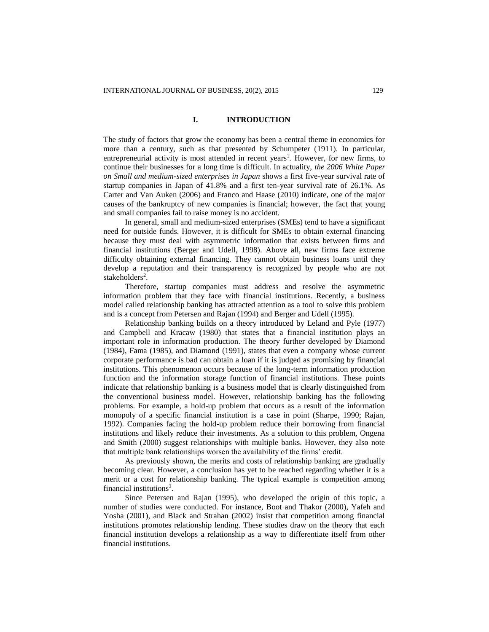## **I. INTRODUCTION**

The study of factors that grow the economy has been a central theme in economics for more than a century, such as that presented by Schumpeter (1911). In particular, entrepreneurial activity is most attended in recent years<sup>1</sup>. However, for new firms, to continue their businesses for a long time is difficult. In actuality, *the 2006 White Paper on Small and medium-sized enterprises in Japan* shows a first five-year survival rate of startup companies in Japan of 41.8% and a first ten-year survival rate of 26.1%. As Carter and Van Auken (2006) and Franco and Haase (2010) indicate, one of the major causes of the bankruptcy of new companies is financial; however, the fact that young and small companies fail to raise money is no accident.

In general, small and medium-sized enterprises (SMEs) tend to have a significant need for outside funds. However, it is difficult for SMEs to obtain external financing because they must deal with asymmetric information that exists between firms and financial institutions (Berger and Udell, 1998). Above all, new firms face extreme difficulty obtaining external financing. They cannot obtain business loans until they develop a reputation and their transparency is recognized by people who are not stakeholders<sup>2</sup>.

Therefore, startup companies must address and resolve the asymmetric information problem that they face with financial institutions. Recently, a business model called relationship banking has attracted attention as a tool to solve this problem and is a concept from Petersen and Rajan (1994) and Berger and Udell (1995).

Relationship banking builds on a theory introduced by Leland and Pyle (1977) and Campbell and Kracaw (1980) that states that a financial institution plays an important role in information production. The theory further developed by Diamond (1984), Fama (1985), and Diamond (1991), states that even a company whose current corporate performance is bad can obtain a loan if it is judged as promising by financial institutions. This phenomenon occurs because of the long-term information production function and the information storage function of financial institutions. These points indicate that relationship banking is a business model that is clearly distinguished from the conventional business model. However, relationship banking has the following problems. For example, a hold-up problem that occurs as a result of the information monopoly of a specific financial institution is a case in point (Sharpe, 1990; Rajan, 1992). Companies facing the hold-up problem reduce their borrowing from financial institutions and likely reduce their investments. As a solution to this problem, Ongena and Smith (2000) suggest relationships with multiple banks. However, they also note that multiple bank relationships worsen the availability of the firms' credit.

As previously shown, the merits and costs of relationship banking are gradually becoming clear. However, a conclusion has yet to be reached regarding whether it is a merit or a cost for relationship banking. The typical example is competition among financial institutions<sup>3</sup>.

Since Petersen and Rajan (1995), who developed the origin of this topic, a number of studies were conducted. For instance, Boot and Thakor (2000), Yafeh and Yosha (2001), and Black and Strahan (2002) insist that competition among financial institutions promotes relationship lending. These studies draw on the theory that each financial institution develops a relationship as a way to differentiate itself from other financial institutions.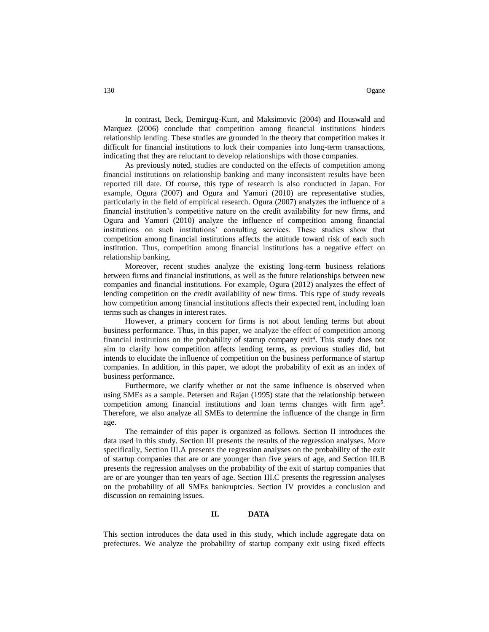In contrast, Beck, Demirgug-Kunt, and Maksimovic (2004) and Houswald and Marquez (2006) conclude that competition among financial institutions hinders relationship lending. These studies are grounded in the theory that competition makes it difficult for financial institutions to lock their companies into long-term transactions, indicating that they are reluctant to develop relationships with those companies.

As previously noted, studies are conducted on the effects of competition among financial institutions on relationship banking and many inconsistent results have been reported till date. Of course, this type of research is also conducted in Japan. For example, Ogura (2007) and Ogura and Yamori (2010) are representative studies, particularly in the field of empirical research. Ogura (2007) analyzes the influence of a financial institution's competitive nature on the credit availability for new firms, and Ogura and Yamori (2010) analyze the influence of competition among financial institutions on such institutions' consulting services. These studies show that competition among financial institutions affects the attitude toward risk of each such institution. Thus, competition among financial institutions has a negative effect on relationship banking.

Moreover, recent studies analyze the existing long-term business relations between firms and financial institutions, as well as the future relationships between new companies and financial institutions. For example, Ogura (2012) analyzes the effect of lending competition on the credit availability of new firms. This type of study reveals how competition among financial institutions affects their expected rent, including loan terms such as changes in interest rates.

However, a primary concern for firms is not about lending terms but about business performance. Thus, in this paper, we analyze the effect of competition among financial institutions on the probability of startup company  $exit<sup>4</sup>$ . This study does not aim to clarify how competition affects lending terms, as previous studies did, but intends to elucidate the influence of competition on the business performance of startup companies. In addition, in this paper, we adopt the probability of exit as an index of business performance.

Furthermore, we clarify whether or not the same influence is observed when using SMEs as a sample. Petersen and Rajan (1995) state that the relationship between competition among financial institutions and loan terms changes with firm age<sup>5</sup>. Therefore, we also analyze all SMEs to determine the influence of the change in firm age.

The remainder of this paper is organized as follows. Section II introduces the data used in this study. Section III presents the results of the regression analyses. More specifically, Section III.A presents the regression analyses on the probability of the exit of startup companies that are or are younger than five years of age, and Section III.B presents the regression analyses on the probability of the exit of startup companies that are or are younger than ten years of age. Section III.C presents the regression analyses on the probability of all SMEs bankruptcies. Section IV provides a conclusion and discussion on remaining issues.

# **II. DATA**

This section introduces the data used in this study, which include aggregate data on prefectures. We analyze the probability of startup company exit using fixed effects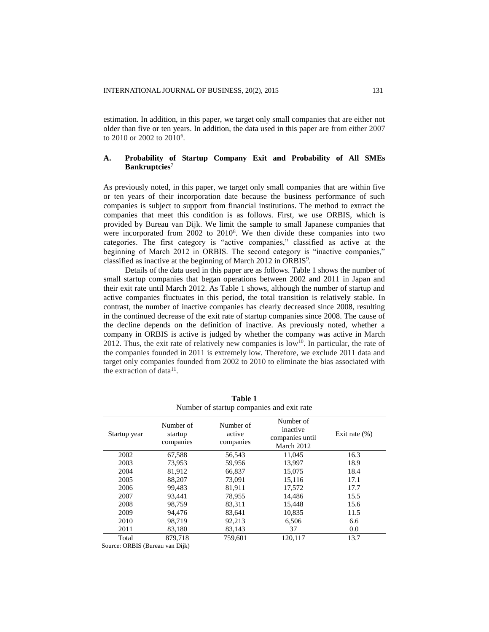estimation. In addition, in this paper, we target only small companies that are either not older than five or ten years. In addition, the data used in this paper are from either 2007 to 2010 or 2002 to 2010<sup>6</sup>.

# **A. Probability of Startup Company Exit and Probability of All SMEs Bankruptcies**<sup>7</sup>

As previously noted, in this paper, we target only small companies that are within five or ten years of their incorporation date because the business performance of such companies is subject to support from financial institutions. The method to extract the companies that meet this condition is as follows. First, we use ORBIS, which is provided by Bureau van Dijk. We limit the sample to small Japanese companies that were incorporated from 2002 to 2010<sup>8</sup>. We then divide these companies into two categories. The first category is "active companies," classified as active at the beginning of March 2012 in ORBIS. The second category is "inactive companies," classified as inactive at the beginning of March 2012 in ORBIS<sup>9</sup>.

Details of the data used in this paper are as follows. Table 1 shows the number of small startup companies that began operations between 2002 and 2011 in Japan and their exit rate until March 2012. As Table 1 shows, although the number of startup and active companies fluctuates in this period, the total transition is relatively stable. In contrast, the number of inactive companies has clearly decreased since 2008, resulting in the continued decrease of the exit rate of startup companies since 2008. The cause of the decline depends on the definition of inactive. As previously noted, whether a company in ORBIS is active is judged by whether the company was active in March 2012. Thus, the exit rate of relatively new companies is low<sup>10</sup>. In particular, the rate of the companies founded in 2011 is extremely low. Therefore, we exclude 2011 data and target only companies founded from 2002 to 2010 to eliminate the bias associated with the extraction of data<sup>11</sup>.

| Number of startup companies and exit rate |                                   |                                  |                                                        |                   |  |  |  |  |
|-------------------------------------------|-----------------------------------|----------------------------------|--------------------------------------------------------|-------------------|--|--|--|--|
| Startup year                              | Number of<br>startup<br>companies | Number of<br>active<br>companies | Number of<br>inactive<br>companies until<br>March 2012 | Exit rate $(\% )$ |  |  |  |  |
| 2002                                      | 67,588                            | 56,543                           | 11,045                                                 | 16.3              |  |  |  |  |
| 2003                                      | 73,953                            | 59,956                           | 13,997                                                 | 18.9              |  |  |  |  |
| 2004                                      | 81,912                            | 66,837                           | 15,075                                                 | 18.4              |  |  |  |  |
| 2005                                      | 88.207                            | 73,091                           | 15.116                                                 | 17.1              |  |  |  |  |
| 2006                                      | 99.483                            | 81,911                           | 17,572                                                 | 17.7              |  |  |  |  |
| 2007                                      | 93,441                            | 78,955                           | 14,486                                                 | 15.5              |  |  |  |  |
| 2008                                      | 98,759                            | 83,311                           | 15,448                                                 | 15.6              |  |  |  |  |
| 2009                                      | 94.476                            | 83,641                           | 10,835                                                 | 11.5              |  |  |  |  |
| 2010                                      | 98,719                            | 92,213                           | 6,506                                                  | 6.6               |  |  |  |  |
| 2011                                      | 83,180                            | 83,143                           | 37                                                     | 0.0               |  |  |  |  |
| Total                                     | 879.718                           | 759.601                          | 120.117                                                | 13.7              |  |  |  |  |

**Table 1**  number of startup companies and exit rate that

Source: ORBIS (Bureau van Dijk)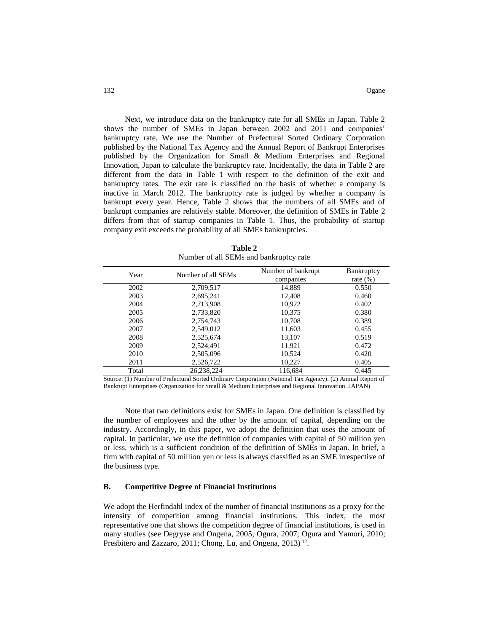Next, we introduce data on the bankruptcy rate for all SMEs in Japan. Table 2 shows the number of SMEs in Japan between 2002 and 2011 and companies' bankruptcy rate. We use the Number of Prefectural Sorted Ordinary Corporation published by the National Tax Agency and the Annual Report of Bankrupt Enterprises published by the Organization for Small & Medium Enterprises and Regional Innovation, Japan to calculate the bankruptcy rate. Incidentally, the data in Table 2 are different from the data in Table 1 with respect to the definition of the exit and bankruptcy rates. The exit rate is classified on the basis of whether a company is inactive in March 2012. The bankruptcy rate is judged by whether a company is bankrupt every year. Hence, Table 2 shows that the numbers of all SMEs and of bankrupt companies are relatively stable. Moreover, the definition of SMEs in Table 2 differs from that of startup companies in Table 1. Thus, the probability of startup company exit exceeds the probability of all SMEs bankruptcies.

| Year  | Number of all SEMs | Number of bankrupt<br>companies | Bankruptcy<br>rate $(\%)$ |  |  |  |  |  |
|-------|--------------------|---------------------------------|---------------------------|--|--|--|--|--|
| 2002  | 2,709,517          | 14,889                          | 0.550                     |  |  |  |  |  |
| 2003  | 2,695,241          | 12,408                          | 0.460                     |  |  |  |  |  |
| 2004  | 2.713.908          | 10.922                          | 0.402                     |  |  |  |  |  |
| 2005  | 2,733,820          | 10.375                          | 0.380                     |  |  |  |  |  |
| 2006  | 2,754,743          | 10,708                          | 0.389                     |  |  |  |  |  |
| 2007  | 2.549.012          | 11,603                          | 0.455                     |  |  |  |  |  |
| 2008  | 2,525,674          | 13,107                          | 0.519                     |  |  |  |  |  |
| 2009  | 2,524,491          | 11,921                          | 0.472                     |  |  |  |  |  |
| 2010  | 2,505,096          | 10,524                          | 0.420                     |  |  |  |  |  |
| 2011  | 2,526,722          | 10,227                          | 0.405                     |  |  |  |  |  |
| Total | 26,238,224         | 116,684                         | 0.445                     |  |  |  |  |  |

**Table 2** Number of all SEMs and bankruptcy rate

Source: (1) Number of Prefectural Sorted Ordinary Corporation (National Tax Agency). (2) Annual Report of Bankrupt Enterprises (Organization for Small & Medium Enterprises and Regional Innovation. JAPAN)

Note that two definitions exist for SMEs in Japan. One definition is classified by the number of employees and the other by the amount of capital, depending on the industry. Accordingly, in this paper, we adopt the definition that uses the amount of capital. In particular, we use the definition of companies with capital of 50 million yen or less, which is a sufficient condition of the definition of SMEs in Japan. In brief, a firm with capital of 50 million yen or less is always classified as an SME irrespective of the business type.

#### **B. Competitive Degree of Financial Institutions**

We adopt the Herfindahl index of the number of financial institutions as a proxy for the intensity of competition among financial institutions. This index, the most representative one that shows the competition degree of financial institutions, is used in many studies (see Degryse and Ongena, 2005; Ogura, 2007; Ogura and Yamori, 2010; Presbitero and Zazzaro, 2011; Chong, Lu, and Ongena, 2013)<sup>12</sup>.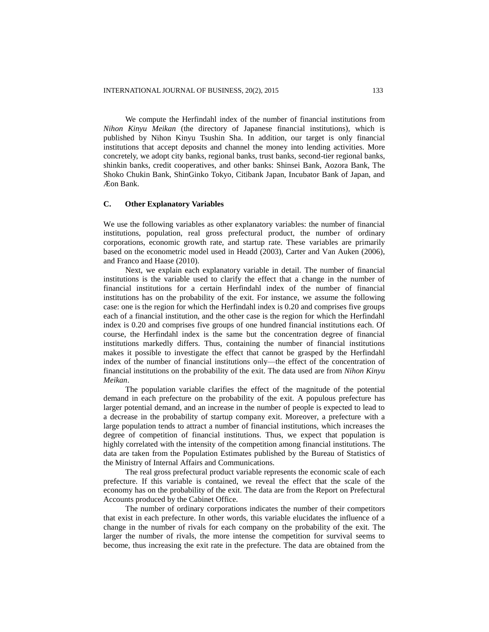We compute the Herfindahl index of the number of financial institutions from *Nihon Kinyu Meikan* (the directory of Japanese financial institutions), which is published by Nihon Kinyu Tsushin Sha. In addition, our target is only financial institutions that accept deposits and channel the money into lending activities. More concretely, we adopt city banks, regional banks, trust banks, second-tier regional banks, shinkin banks, credit cooperatives, and other banks: Shinsei Bank, Aozora Bank, The Shoko Chukin Bank, ShinGinko Tokyo, Citibank Japan, Incubator Bank of Japan, and Æon Bank.

#### **C. Other Explanatory Variables**

We use the following variables as other explanatory variables: the number of financial institutions, population, real gross prefectural product, the number of ordinary corporations, economic growth rate, and startup rate. These variables are primarily based on the econometric model used in Headd (2003), Carter and Van Auken (2006), and Franco and Haase (2010).

Next, we explain each explanatory variable in detail. The number of financial institutions is the variable used to clarify the effect that a change in the number of financial institutions for a certain Herfindahl index of the number of financial institutions has on the probability of the exit. For instance, we assume the following case: one is the region for which the Herfindahl index is 0.20 and comprises five groups each of a financial institution, and the other case is the region for which the Herfindahl index is 0.20 and comprises five groups of one hundred financial institutions each. Of course, the Herfindahl index is the same but the concentration degree of financial institutions markedly differs. Thus, containing the number of financial institutions makes it possible to investigate the effect that cannot be grasped by the Herfindahl index of the number of financial institutions only—the effect of the concentration of financial institutions on the probability of the exit. The data used are from *Nihon Kinyu Meikan*.

The population variable clarifies the effect of the magnitude of the potential demand in each prefecture on the probability of the exit. A populous prefecture has larger potential demand, and an increase in the number of people is expected to lead to a decrease in the probability of startup company exit. Moreover, a prefecture with a large population tends to attract a number of financial institutions, which increases the degree of competition of financial institutions. Thus, we expect that population is highly correlated with the intensity of the competition among financial institutions. The data are taken from the Population Estimates published by the Bureau of Statistics of the Ministry of Internal Affairs and Communications.

The real gross prefectural product variable represents the economic scale of each prefecture. If this variable is contained, we reveal the effect that the scale of the economy has on the probability of the exit. The data are from the Report on Prefectural Accounts produced by the Cabinet Office.

The number of ordinary corporations indicates the number of their competitors that exist in each prefecture. In other words, this variable elucidates the influence of a change in the number of rivals for each company on the probability of the exit. The larger the number of rivals, the more intense the competition for survival seems to become, thus increasing the exit rate in the prefecture. The data are obtained from the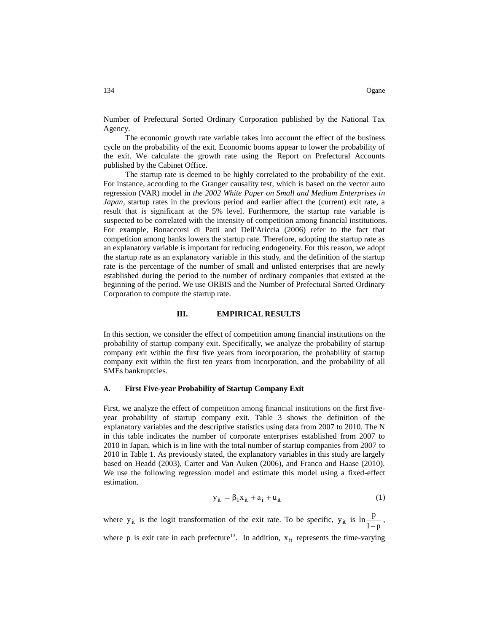Number of Prefectural Sorted Ordinary Corporation published by the National Tax Agency.

The economic growth rate variable takes into account the effect of the business cycle on the probability of the exit. Economic booms appear to lower the probability of the exit. We calculate the growth rate using the Report on Prefectural Accounts published by the Cabinet Office.

The startup rate is deemed to be highly correlated to the probability of the exit. For instance, according to the Granger causality test, which is based on the vector auto regression (VAR) model in *the 2002 White Paper on Small and Medium Enterprises in Japan*, startup rates in the previous period and earlier affect the (current) exit rate, a result that is significant at the 5% level. Furthermore, the startup rate variable is suspected to be correlated with the intensity of competition among financial institutions. For example, Bonaccorsi di Patti and Dell'Ariccia (2006) refer to the fact that competition among banks lowers the startup rate. Therefore, adopting the startup rate as an explanatory variable is important for reducing endogeneity. For this reason, we adopt the startup rate as an explanatory variable in this study, and the definition of the startup rate is the percentage of the number of small and unlisted enterprises that are newly established during the period to the number of ordinary companies that existed at the beginning of the period. We use ORBIS and the Number of Prefectural Sorted Ordinary Corporation to compute the startup rate.

## **III. EMPIRICAL RESULTS**

In this section, we consider the effect of competition among financial institutions on the probability of startup company exit. Specifically, we analyze the probability of startup company exit within the first five years from incorporation, the probability of startup company exit within the first ten years from incorporation, and the probability of all SMEs bankruptcies.

#### **A. First Five-year Probability of Startup Company Exit**

First, we analyze the effect of competition among financial institutions on the first fiveyear probability of startup company exit. Table 3 shows the definition of the explanatory variables and the descriptive statistics using data from 2007 to 2010. The N in this table indicates the number of corporate enterprises established from 2007 to 2010 in Japan, which is in line with the total number of startup companies from 2007 to 2010 in Table 1. As previously stated, the explanatory variables in this study are largely based on Headd (2003), Carter and Van Auken (2006), and Franco and Haase (2010). We use the following regression model and estimate this model using a fixed-effect estimation.

$$
y_{it} = \beta_1 x_{it} + a_i + u_{it}
$$
 (1)

where  $y_{it}$  is the logit transformation of the exit rate. To be specific,  $y_{it}$  is  $\ln \frac{P}{1-p}$  $\ln \frac{\mathbf{p}}{1-\mathbf{p}}$ ,

where p is exit rate in each prefecture<sup>13</sup>. In addition,  $x_{it}$  represents the time-varying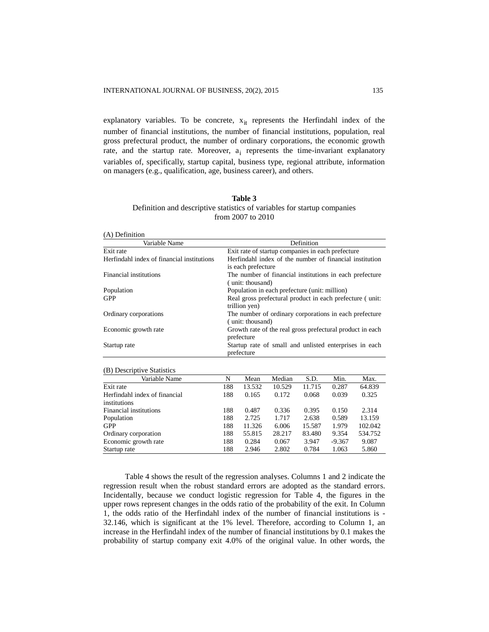explanatory variables. To be concrete,  $x_{it}$  represents the Herfindahl index of the number of financial institutions, the number of financial institutions, population, real gross prefectural product, the number of ordinary corporations, the economic growth rate, and the startup rate. Moreover,  $a_i$  represents the time-invariant explanatory variables of, specifically, startup capital, business type, regional attribute, information on managers (e.g., qualification, age, business career), and others.

| Table 3                                                                  |
|--------------------------------------------------------------------------|
| Definition and descriptive statistics of variables for startup companies |
| from $2007$ to $2010$                                                    |

| (A) Definition                             |                                                                               |
|--------------------------------------------|-------------------------------------------------------------------------------|
| Variable Name                              | Definition                                                                    |
| Exit rate                                  | Exit rate of startup companies in each prefecture                             |
| Herfindahl index of financial institutions | Herfindahl index of the number of financial institution<br>is each prefecture |
| Financial institutions                     | The number of financial institutions in each prefecture<br>(unit: thousand)   |
| Population                                 | Population in each prefecture (unit: million)                                 |
| GPP                                        | Real gross prefectural product in each prefecture (unit:<br>trillion yen)     |
| Ordinary corporations                      | The number of ordinary corporations in each prefecture<br>(unit: thousand)    |
| Economic growth rate                       | Growth rate of the real gross prefectural product in each<br>prefecture       |
| Startup rate                               | Startup rate of small and unlisted enterprises in each<br>prefecture          |

| (B) Descriptive Statistics    |     |        |        |        |          |         |
|-------------------------------|-----|--------|--------|--------|----------|---------|
| Variable Name                 | N   | Mean   | Median | S.D.   | Min.     | Max.    |
| Exit rate                     | 188 | 13.532 | 10.529 | 11.715 | 0.287    | 64.839  |
| Herfindahl index of financial | 188 | 0.165  | 0.172  | 0.068  | 0.039    | 0.325   |
| institutions                  |     |        |        |        |          |         |
| Financial institutions        | 188 | 0.487  | 0.336  | 0.395  | 0.150    | 2.314   |
| Population                    | 188 | 2.725  | 1.717  | 2.638  | 0.589    | 13.159  |
| GPP                           | 188 | 11.326 | 6.006  | 15.587 | 1.979    | 102.042 |
| Ordinary corporation          | 188 | 55.815 | 28.217 | 83.480 | 9.354    | 534.752 |
| Economic growth rate          | 188 | 0.284  | 0.067  | 3.947  | $-9.367$ | 9.087   |
| Startup rate                  | 188 | 2.946  | 2.802  | 0.784  | 1.063    | 5.860   |

Table 4 shows the result of the regression analyses. Columns 1 and 2 indicate the regression result when the robust standard errors are adopted as the standard errors. Incidentally, because we conduct logistic regression for Table 4, the figures in the upper rows represent changes in the odds ratio of the probability of the exit. In Column 1, the odds ratio of the Herfindahl index of the number of financial institutions is - 32.146, which is significant at the 1% level. Therefore, according to Column 1, an increase in the Herfindahl index of the number of financial institutions by 0.1 makes the probability of startup company exit 4.0% of the original value. In other words, the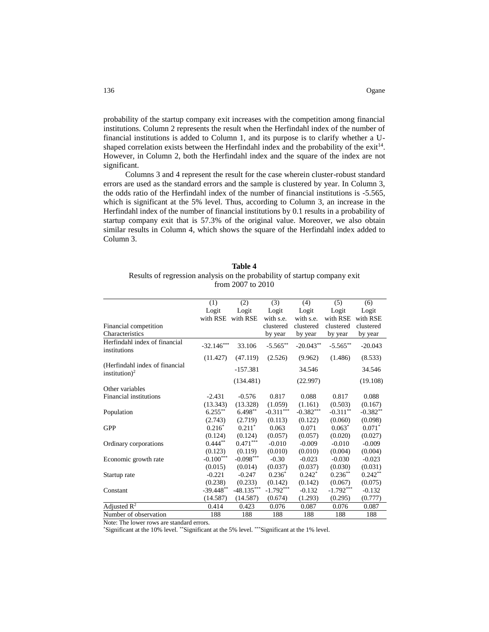probability of the startup company exit increases with the competition among financial institutions. Column 2 represents the result when the Herfindahl index of the number of financial institutions is added to Column 1, and its purpose is to clarify whether a Ushaped correlation exists between the Herfindahl index and the probability of the exit<sup>14</sup>. However, in Column 2, both the Herfindahl index and the square of the index are not significant.

Columns 3 and 4 represent the result for the case wherein cluster-robust standard errors are used as the standard errors and the sample is clustered by year. In Column 3, the odds ratio of the Herfindahl index of the number of financial institutions is -5.565, which is significant at the 5% level. Thus, according to Column 3, an increase in the Herfindahl index of the number of financial institutions by 0.1 results in a probability of startup company exit that is 57.3% of the original value. Moreover, we also obtain similar results in Column 4, which shows the square of the Herfindahl index added to Column 3.

| <b>Table 4</b>                                                            |  |  |  |  |
|---------------------------------------------------------------------------|--|--|--|--|
| Results of regression analysis on the probability of startup company exit |  |  |  |  |
| from $2007$ to $2010$                                                     |  |  |  |  |

|                                                             | (1)          | (2)          | (3)         | (4)         | (5)         | (6)        |
|-------------------------------------------------------------|--------------|--------------|-------------|-------------|-------------|------------|
|                                                             | Logit        | Logit        | Logit       | Logit       | Logit       | Logit      |
|                                                             | with RSE     | with RSE     | with s.e.   | with s.e.   | with RSE    | with RSE   |
| Financial competition                                       |              |              | clustered   | clustered   | clustered   | clustered  |
| Characteristics                                             |              |              | by year     | by year     | by year     | by year    |
| Herfindahl index of financial<br>institutions               | $-32.146***$ | 33.106       | $-5.565***$ | $-20.043**$ | $-5.565***$ | $-20.043$  |
|                                                             | (11.427)     | (47.119)     | (2.526)     | (9.962)     | (1.486)     | (8.533)    |
| (Herfindahl index of financial<br>institution) <sup>2</sup> |              | $-157.381$   |             | 34.546      |             | 34.546     |
|                                                             |              | (134.481)    |             | (22.997)    |             | (19.108)   |
| Other variables                                             |              |              |             |             |             |            |
| Financial institutions                                      | $-2.431$     | $-0.576$     | 0.817       | 0.088       | 0.817       | 0.088      |
|                                                             | (13.343)     | (13.328)     | (1.059)     | (1.161)     | (0.503)     | (0.167)    |
| Population                                                  | $6.255***$   | $6.498**$    | $-0.311***$ | $-0.382***$ | $-0.311**$  | $-0.382**$ |
|                                                             | (2.743)      | (2.719)      | (0.113)     | (0.122)     | (0.060)     | (0.098)    |
| <b>GPP</b>                                                  | $0.216*$     | $0.211*$     | 0.063       | 0.071       | $0.063*$    | $0.071*$   |
|                                                             | (0.124)      | (0.124)      | (0.057)     | (0.057)     | (0.020)     | (0.027)    |
| Ordinary corporations                                       | $0.444***$   | $0.471***$   | $-0.010$    | $-0.009$    | $-0.010$    | $-0.009$   |
|                                                             | (0.123)      | (0.119)      | (0.010)     | (0.010)     | (0.004)     | (0.004)    |
| Economic growth rate                                        | $-0.100***$  | $-0.098***$  | $-0.30$     | $-0.023$    | $-0.030$    | $-0.023$   |
|                                                             | (0.015)      | (0.014)      | (0.037)     | (0.037)     | (0.030)     | (0.031)    |
| Startup rate                                                | $-0.221$     | $-0.247$     | $0.236*$    | $0.242*$    | $0.236**$   | $0.242**$  |
|                                                             | (0.238)      | (0.233)      | (0.142)     | (0.142)     | (0.067)     | (0.075)    |
| Constant                                                    | $-39.448**$  | $-48.135***$ | $-1.792***$ | $-0.132$    | $-1.792***$ | $-0.132$   |
|                                                             | (14.587)     | (14.587)     | (0.674)     | (1.293)     | (0.295)     | (0.777)    |
| Adjusted $R^2$                                              | 0.414        | 0.423        | 0.076       | 0.087       | 0.076       | 0.087      |
| Number of observation                                       | 188          | 188          | 188         | 188         | 188         | 188        |

Note: The lower rows are standard errors.

\*Significant at the 10% level. \*\*Significant at the 5% level. \*\*\*Significant at the 1% level.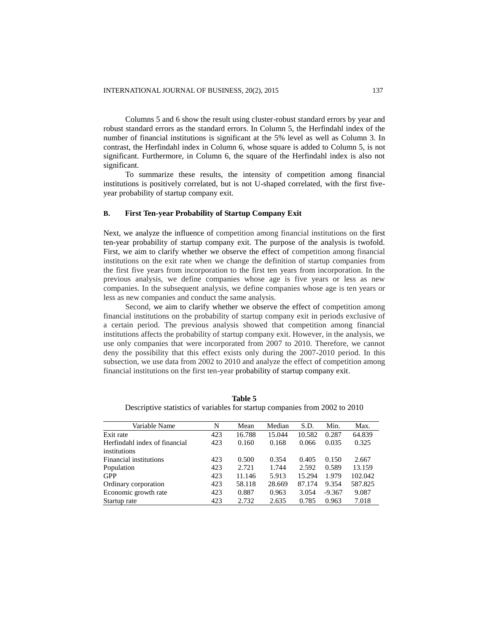Columns 5 and 6 show the result using cluster-robust standard errors by year and robust standard errors as the standard errors. In Column 5, the Herfindahl index of the number of financial institutions is significant at the 5% level as well as Column 3. In contrast, the Herfindahl index in Column 6, whose square is added to Column 5, is not significant. Furthermore, in Column 6, the square of the Herfindahl index is also not significant.

To summarize these results, the intensity of competition among financial institutions is positively correlated, but is not U-shaped correlated, with the first fiveyear probability of startup company exit.

## **B. First Ten-year Probability of Startup Company Exit**

Next, we analyze the influence of competition among financial institutions on the first ten-year probability of startup company exit. The purpose of the analysis is twofold. First, we aim to clarify whether we observe the effect of competition among financial institutions on the exit rate when we change the definition of startup companies from the first five years from incorporation to the first ten years from incorporation. In the previous analysis, we define companies whose age is five years or less as new companies. In the subsequent analysis, we define companies whose age is ten years or less as new companies and conduct the same analysis.

Second, we aim to clarify whether we observe the effect of competition among financial institutions on the probability of startup company exit in periods exclusive of a certain period. The previous analysis showed that competition among financial institutions affects the probability of startup company exit. However, in the analysis, we use only companies that were incorporated from 2007 to 2010. Therefore, we cannot deny the possibility that this effect exists only during the 2007-2010 period. In this subsection, we use data from 2002 to 2010 and analyze the effect of competition among financial institutions on the first ten-year probability of startup company exit.

| Variable Name                 | N   | Mean   | Median | S.D.   | Min.     | Max.    |
|-------------------------------|-----|--------|--------|--------|----------|---------|
| Exit rate                     | 423 | 16.788 | 15.044 | 10.582 | 0.287    | 64.839  |
| Herfindahl index of financial | 423 | 0.160  | 0.168  | 0.066  | 0.035    | 0.325   |
| institutions                  |     |        |        |        |          |         |
| <b>Financial institutions</b> | 423 | 0.500  | 0.354  | 0.405  | 0.150    | 2.667   |
| Population                    | 423 | 2.721  | 1.744  | 2.592  | 0.589    | 13.159  |
| <b>GPP</b>                    | 423 | 11.146 | 5.913  | 15.294 | 1.979    | 102.042 |
| Ordinary corporation          | 423 | 58.118 | 28.669 | 87.174 | 9.354    | 587.825 |
| Economic growth rate          | 423 | 0.887  | 0.963  | 3.054  | $-9.367$ | 9.087   |
| Startup rate                  | 423 | 2.732  | 2.635  | 0.785  | 0.963    | 7.018   |

**Table 5** Descriptive statistics of variables for startup companies from 2002 to 2010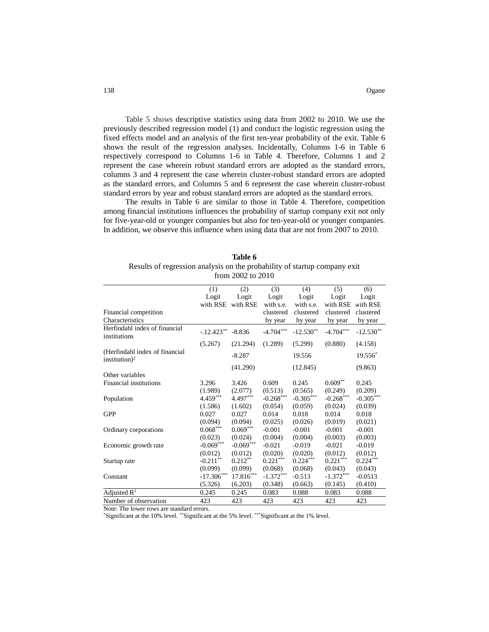Table 5 shows descriptive statistics using data from 2002 to 2010. We use the previously described regression model (1) and conduct the logistic regression using the fixed effects model and an analysis of the first ten-year probability of the exit. Table 6 shows the result of the regression analyses. Incidentally, Columns 1-6 in Table 6 respectively correspond to Columns 1-6 in Table 4. Therefore, Columns 1 and 2 represent the case wherein robust standard errors are adopted as the standard errors, columns 3 and 4 represent the case wherein cluster-robust standard errors are adopted as the standard errors, and Columns 5 and 6 represent the case wherein cluster-robust standard errors by year and robust standard errors are adopted as the standard errors.

The results in Table 6 are similar to those in Table 4. Therefore, competition among financial institutions influences the probability of startup company exit not only for five-year-old or younger companies but also for ten-year-old or younger companies. In addition, we observe this influence when using data that are not from 2007 to 2010.

| Table 6                                                                   |  |  |  |  |
|---------------------------------------------------------------------------|--|--|--|--|
| Results of regression analysis on the probability of startup company exit |  |  |  |  |
| from $2002$ to $2010$                                                     |  |  |  |  |

|                                                             | (1)          | (2)                     | (3)         | (4)         | (5)         | (6)         |
|-------------------------------------------------------------|--------------|-------------------------|-------------|-------------|-------------|-------------|
|                                                             | Logit        | Logit                   | Logit       | Logit       | Logit       | Logit       |
|                                                             | with RSE     | with RSE                | with s.e.   | with s.e.   | with RSE    | with RSE    |
| Financial competition                                       |              |                         | clustered   | clustered   | clustered   | clustered   |
| Characteristics                                             |              |                         | by year     | by year     | by year     | by year     |
| Herfindahl index of financial<br>institutions               | $-.12.423**$ | $-8.836$                | $-4.704***$ | $-12.530**$ | $-4.704***$ | $-12.530**$ |
|                                                             | (5.267)      | (21.294)                | (1.289)     | (5.299)     | (0.880)     | (4.158)     |
| (Herfindahl index of financial<br>institution) <sup>2</sup> |              | $-8.287$                |             | 19.556      |             | $19.556*$   |
|                                                             |              | (41.290)                |             | (12.845)    |             | (9.863)     |
| Other variables                                             |              |                         |             |             |             |             |
| Financial institutions                                      | 3.296        | 3.426                   | 0.609       | 0.245       | $0.609**$   | 0.245       |
|                                                             | (1.989)      | (2.077)                 | (0.513)     | (0.565)     | (0.249)     | (0.209)     |
| Population                                                  | $4.459***$   | $4.497***$              | $-0.268***$ | $-0.305***$ | $-0.268***$ | $-0.305***$ |
|                                                             | (1.586)      | (1.602)                 | (0.054)     | (0.059)     | (0.024)     | (0.039)     |
| <b>GPP</b>                                                  | 0.027        | 0.027                   | 0.014       | 0.018       | 0.014       | 0.018       |
|                                                             | (0.094)      | (0.094)                 | (0.025)     | (0.026)     | (0.019)     | (0.021)     |
| Ordinary corporations                                       | $0.068***$   | $0.069***$              | $-0.001$    | $-0.001$    | $-0.001$    | $-0.001$    |
|                                                             | (0.023)      | (0.024)                 | (0.004)     | (0.004)     | (0.003)     | (0.003)     |
| Economic growth rate                                        | $-0.069***$  | $-0.069***$             | $-0.021$    | $-0.019$    | $-0.021$    | $-0.019$    |
|                                                             | (0.012)      | (0.012)                 | (0.020)     | (0.020)     | (0.012)     | (0.012)     |
| Startup rate                                                | $-0.211***$  | $0.212**$               | $0.221***$  | $0.224***$  | $0.221***$  | $0.224***$  |
|                                                             | (0.099)      | (0.099)                 | (0.068)     | (0.068)     | (0.043)     | (0.043)     |
| Constant                                                    | $-17.306***$ | $17.816^{\ast\ast\ast}$ | $-1.372***$ | $-0.513$    | $-1.372***$ | $-0.0513$   |
|                                                             | (5.326)      | (6.203)                 | (0.348)     | (0.663)     | (0.145)     | (0.410)     |
| Adjusted $R^2$                                              | 0.245        | 0.245                   | 0.083       | 0.088       | 0.083       | 0.088       |
| Number of observation                                       | 423          | 423                     | 423         | 423         | 423         | 423         |

Note: The lower rows are standard errors.

\*Significant at the 10% level. \*\*Significant at the 5% level. \*\*\*Significant at the 1% level.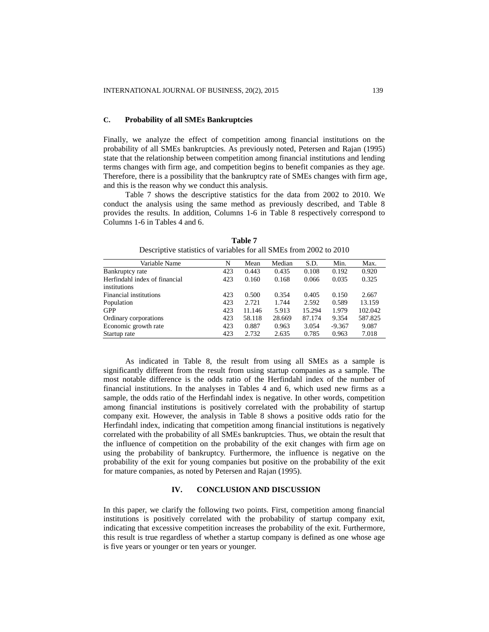## **C. Probability of all SMEs Bankruptcies**

Finally, we analyze the effect of competition among financial institutions on the probability of all SMEs bankruptcies. As previously noted, Petersen and Rajan (1995) state that the relationship between competition among financial institutions and lending terms changes with firm age, and competition begins to benefit companies as they age. Therefore, there is a possibility that the bankruptcy rate of SMEs changes with firm age, and this is the reason why we conduct this analysis.

Table 7 shows the descriptive statistics for the data from 2002 to 2010. We conduct the analysis using the same method as previously described, and Table 8 provides the results. In addition, Columns 1-6 in Table 8 respectively correspond to Columns 1-6 in Tables 4 and 6.

| Variable Name                 | N   | Mean   | Median | S.D.   | Min.     | Max.    |
|-------------------------------|-----|--------|--------|--------|----------|---------|
| Bankruptcy rate               | 423 | 0.443  | 0.435  | 0.108  | 0.192    | 0.920   |
| Herfindahl index of financial | 423 | 0.160  | 0.168  | 0.066  | 0.035    | 0.325   |
| institutions                  |     |        |        |        |          |         |
| Financial institutions        | 423 | 0.500  | 0.354  | 0.405  | 0.150    | 2.667   |
| Population                    | 423 | 2.721  | 1.744  | 2.592  | 0.589    | 13.159  |
| <b>GPP</b>                    | 423 | 11.146 | 5.913  | 15.294 | 1.979    | 102.042 |
| Ordinary corporations         | 423 | 58.118 | 28.669 | 87.174 | 9.354    | 587.825 |
| Economic growth rate          | 423 | 0.887  | 0.963  | 3.054  | $-9.367$ | 9.087   |
| Startup rate                  | 423 | 2.732  | 2.635  | 0.785  | 0.963    | 7.018   |

**Table 7** Descriptive statistics of variables for all SMEs from 2002 to 2010

As indicated in Table 8, the result from using all SMEs as a sample is significantly different from the result from using startup companies as a sample. The most notable difference is the odds ratio of the Herfindahl index of the number of financial institutions. In the analyses in Tables 4 and 6, which used new firms as a sample, the odds ratio of the Herfindahl index is negative. In other words, competition among financial institutions is positively correlated with the probability of startup company exit. However, the analysis in Table 8 shows a positive odds ratio for the Herfindahl index, indicating that competition among financial institutions is negatively correlated with the probability of all SMEs bankruptcies. Thus, we obtain the result that the influence of competition on the probability of the exit changes with firm age on using the probability of bankruptcy. Furthermore, the influence is negative on the probability of the exit for young companies but positive on the probability of the exit for mature companies, as noted by Petersen and Rajan (1995).

#### **IV. CONCLUSION AND DISCUSSION**

In this paper, we clarify the following two points. First, competition among financial institutions is positively correlated with the probability of startup company exit, indicating that excessive competition increases the probability of the exit. Furthermore, this result is true regardless of whether a startup company is defined as one whose age is five years or younger or ten years or younger.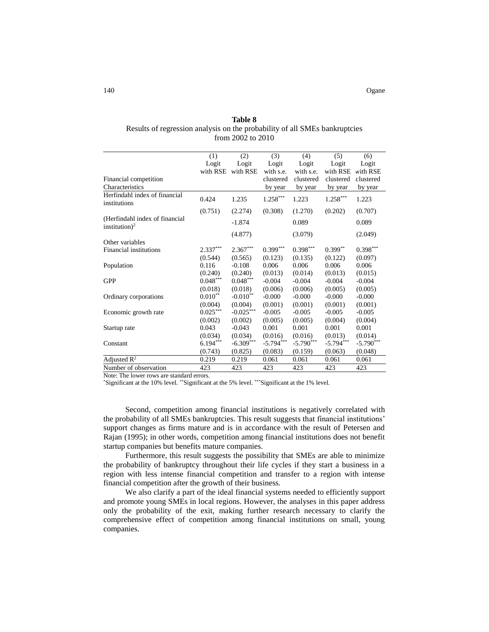140 Ogane

## **Table 8**

# Results of regression analysis on the probability of all SMEs bankruptcies from 2002 to 2010

|                                                             | (1)        | (2)         | (3)         | (4)         | (5)         | (6)         |
|-------------------------------------------------------------|------------|-------------|-------------|-------------|-------------|-------------|
|                                                             | Logit      | Logit       | Logit       | Logit       | Logit       | Logit       |
|                                                             | with RSE   | with RSE    | with s.e.   | with s.e.   | with RSE    | with RSE    |
| Financial competition                                       |            |             | clustered   | clustered   | clustered   | clustered   |
| Characteristics                                             |            |             | by year     | by year     | by year     | by year     |
| Herfindahl index of financial<br>institutions               | 0.424      | 1.235       | $1.258***$  | 1.223       | $1.258***$  | 1.223       |
|                                                             | (0.751)    | (2.274)     | (0.308)     | (1.270)     | (0.202)     | (0.707)     |
| (Herfindahl index of financial<br>institution) <sup>2</sup> |            | $-1.874$    |             | 0.089       |             | 0.089       |
|                                                             |            | (4.877)     |             | (3.079)     |             | (2.049)     |
| Other variables                                             |            |             |             |             |             |             |
| Financial institutions                                      | $2.337***$ | $2.367***$  | $0.399***$  | $0.398***$  | $0.399**$   | $0.398***$  |
|                                                             | (0.544)    | (0.565)     | (0.123)     | (0.135)     | (0.122)     | (0.097)     |
| Population                                                  | 0.116      | $-0.108$    | 0.006       | 0.006       | 0.006       | 0.006       |
|                                                             | (0.240)    | (0.240)     | (0.013)     | (0.014)     | (0.013)     | (0.015)     |
| <b>GPP</b>                                                  | $0.048***$ | $0.048***$  | $-0.004$    | $-0.004$    | $-0.004$    | $-0.004$    |
|                                                             | (0.018)    | (0.018)     | (0.006)     | (0.006)     | (0.005)     | (0.005)     |
| Ordinary corporations                                       | $0.010**$  | $-0.010**$  | $-0.000$    | $-0.000$    | $-0.000$    | $-0.000$    |
|                                                             | (0.004)    | (0.004)     | (0.001)     | (0.001)     | (0.001)     | (0.001)     |
| Economic growth rate                                        | $0.025***$ | $-0.025***$ | $-0.005$    | $-0.005$    | $-0.005$    | $-0.005$    |
|                                                             | (0.002)    | (0.002)     | (0.005)     | (0.005)     | (0.004)     | (0.004)     |
| Startup rate                                                | 0.043      | $-0.043$    | 0.001       | 0.001       | 0.001       | 0.001       |
|                                                             | (0.034)    | (0.034)     | (0.016)     | (0.016)     | (0.013)     | (0.014)     |
| Constant                                                    | $6.194***$ | $-6.309***$ | $-5.794***$ | $-5.790***$ | $-5.794***$ | $-5.790***$ |
|                                                             | (0.743)    | (0.825)     | (0.083)     | (0.159)     | (0.063)     | (0.048)     |
| Adjusted $\mathbb{R}^2$                                     | 0.219      | 0.219       | 0.061       | 0.061       | 0.061       | 0.061       |
| Number of observation                                       | 423        | 423         | 423         | 423         | 423         | 423         |

Note: The lower rows are standard errors.

\*Significant at the 10% level. \*\*Significant at the 5% level. \*\*\*Significant at the 1% level.

Second, competition among financial institutions is negatively correlated with the probability of all SMEs bankruptcies. This result suggests that financial institutions' support changes as firms mature and is in accordance with the result of Petersen and Rajan (1995); in other words, competition among financial institutions does not benefit startup companies but benefits mature companies.

Furthermore, this result suggests the possibility that SMEs are able to minimize the probability of bankruptcy throughout their life cycles if they start a business in a region with less intense financial competition and transfer to a region with intense financial competition after the growth of their business.

We also clarify a part of the ideal financial systems needed to efficiently support and promote young SMEs in local regions. However, the analyses in this paper address only the probability of the exit, making further research necessary to clarify the comprehensive effect of competition among financial institutions on small, young companies.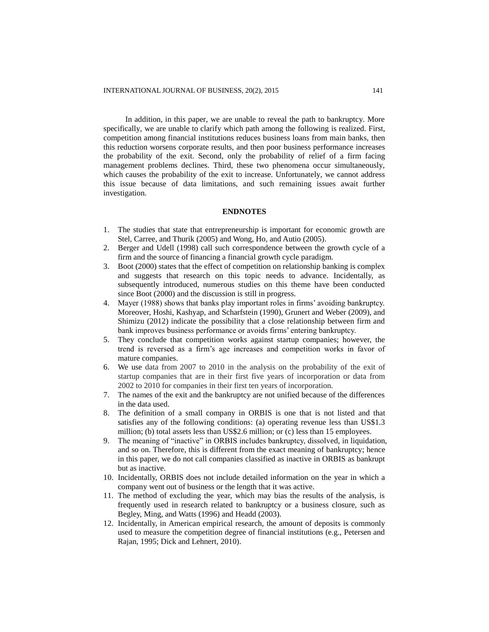In addition, in this paper, we are unable to reveal the path to bankruptcy. More specifically, we are unable to clarify which path among the following is realized. First, competition among financial institutions reduces business loans from main banks, then this reduction worsens corporate results, and then poor business performance increases the probability of the exit. Second, only the probability of relief of a firm facing management problems declines. Third, these two phenomena occur simultaneously, which causes the probability of the exit to increase. Unfortunately, we cannot address this issue because of data limitations, and such remaining issues await further investigation.

# **ENDNOTES**

- 1. The studies that state that entrepreneurship is important for economic growth are Stel, Carree, and Thurik (2005) and Wong, Ho, and Autio (2005).
- 2. Berger and Udell (1998) call such correspondence between the growth cycle of a firm and the source of financing a financial growth cycle paradigm.
- 3. Boot (2000) states that the effect of competition on relationship banking is complex and suggests that research on this topic needs to advance. Incidentally, as subsequently introduced, numerous studies on this theme have been conducted since Boot (2000) and the discussion is still in progress.
- 4. Mayer (1988) shows that banks play important roles in firms' avoiding bankruptcy. Moreover, Hoshi, Kashyap, and Scharfstein (1990), Grunert and Weber (2009), and Shimizu (2012) indicate the possibility that a close relationship between firm and bank improves business performance or avoids firms' entering bankruptcy.
- 5. They conclude that competition works against startup companies; however, the trend is reversed as a firm's age increases and competition works in favor of mature companies.
- 6. We use data from 2007 to 2010 in the analysis on the probability of the exit of startup companies that are in their first five years of incorporation or data from 2002 to 2010 for companies in their first ten years of incorporation.
- 7. The names of the exit and the bankruptcy are not unified because of the differences in the data used.
- 8. The definition of a small company in ORBIS is one that is not listed and that satisfies any of the following conditions: (a) operating revenue less than US\$1.3 million; (b) total assets less than US\$2.6 million; or (c) less than 15 employees.
- 9. The meaning of "inactive" in ORBIS includes bankruptcy, dissolved, in liquidation, and so on. Therefore, this is different from the exact meaning of bankruptcy; hence in this paper, we do not call companies classified as inactive in ORBIS as bankrupt but as inactive.
- 10. Incidentally, ORBIS does not include detailed information on the year in which a company went out of business or the length that it was active.
- 11. The method of excluding the year, which may bias the results of the analysis, is frequently used in research related to bankruptcy or a business closure, such as Begley, Ming, and Watts (1996) and Headd (2003).
- 12. Incidentally, in American empirical research, the amount of deposits is commonly used to measure the competition degree of financial institutions (e.g., Petersen and Rajan, 1995; Dick and Lehnert, 2010).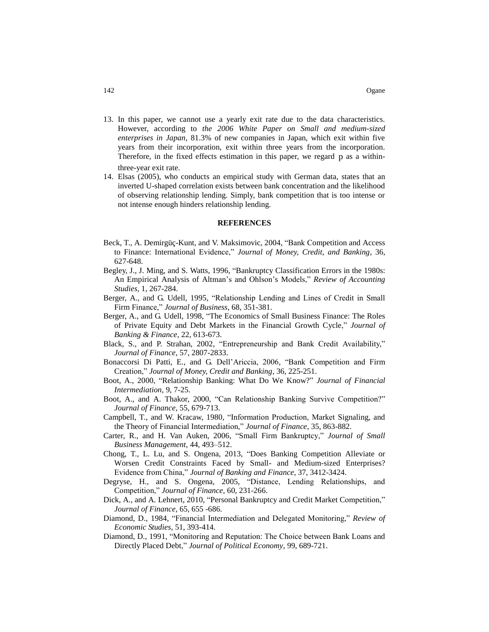- 13. In this paper, we cannot use a yearly exit rate due to the data characteristics. However, according to *the 2006 White Paper on Small and medium-sized enterprises in Japan*, 81.3% of new companies in Japan, which exit within five years from their incorporation, exit within three years from the incorporation. Therefore, in the fixed effects estimation in this paper, we regard p as a withinthree-year exit rate.
- 14. Elsas (2005), who conducts an empirical study with German data, states that an inverted U-shaped correlation exists between bank concentration and the likelihood of observing relationship lending. Simply, bank competition that is too intense or not intense enough hinders relationship lending.

#### **REFERENCES**

- Beck, T., A. Demirgüç-Kunt, and V. Maksimovic, 2004, "Bank Competition and Access to Finance: International Evidence," *Journal of Money, Credit, and Banking*, 36, 627-648.
- Begley, J., J. Ming, and S. Watts, 1996, "Bankruptcy Classification Errors in the 1980s: An Empirical Analysis of Altman's and Ohlson's Models," *Review of Accounting Studies*, 1, 267-284.
- Berger, A., and G. Udell, 1995, "Relationship Lending and Lines of Credit in Small Firm Finance," *Journal of Business*, 68, 351-381.
- Berger, A., and G. Udell, 1998, "The Economics of Small Business Finance: The Roles of Private Equity and Debt Markets in the Financial Growth Cycle," *Journal of Banking & Finance*, 22, 613-673.
- Black, S., and P. Strahan, 2002, "Entrepreneurship and Bank Credit Availability," *Journal of Finance*, 57, 2807-2833.
- Bonaccorsi Di Patti, E., and G. Dell'Ariccia, 2006, "Bank Competition and Firm Creation," *Journal of Money, Credit and Banking*, 36, 225-251.
- Boot, A., 2000, "Relationship Banking: What Do We Know?" *Journal of Financial Intermediation*, 9, 7-25.
- Boot, A., and A. Thakor, 2000, "Can Relationship Banking Survive Competition?" *Journal of Finance*, 55, 679-713.
- Campbell, T., and W. Kracaw, 1980, "Information Production, Market Signaling, and the Theory of Financial Intermediation," *Journal of Finance*, 35, 863-882.
- Carter, R., and H. Van Auken, 2006, "Small Firm Bankruptcy," *Journal of Small Business Management*, 44, 493–512.
- Chong, T., L. Lu, and S. Ongena, 2013, "Does Banking Competition Alleviate or Worsen Credit Constraints Faced by Small- and Medium-sized Enterprises? Evidence from China," *Journal of Banking and Finance*, 37, 3412-3424.
- Degryse, H., and S. Ongena, 2005, "Distance, Lending Relationships, and Competition," *Journal of Finance*, 60, 231-266.
- Dick, A., and A. Lehnert, 2010, "Personal Bankruptcy and Credit Market Competition," *Journal of Finance*, 65, 655 -686.
- Diamond, D., 1984, "Financial Intermediation and Delegated Monitoring," *Review of Economic Studies*, 51, 393-414.
- Diamond, D., 1991, "Monitoring and Reputation: The Choice between Bank Loans and Directly Placed Debt," *Journal of Political Economy*, 99, 689-721.